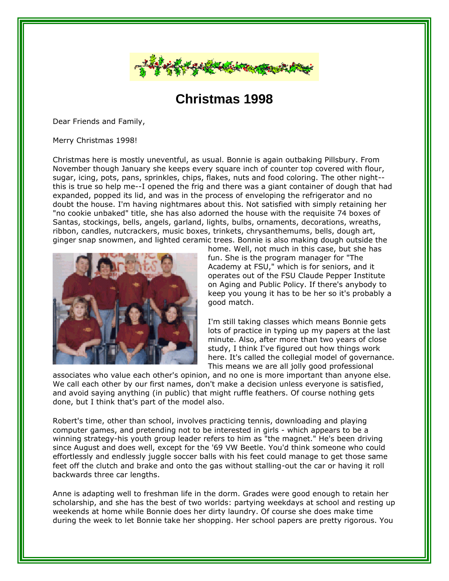

## **Christmas 1998**

Dear Friends and Family,

Merry Christmas 1998!

Christmas here is mostly uneventful, as usual. Bonnie is again outbaking Pillsbury. From November though January she keeps every square inch of counter top covered with flour, sugar, icing, pots, pans, sprinkles, chips, flakes, nuts and food coloring. The other night- this is true so help me--I opened the frig and there was a giant container of dough that had expanded, popped its lid, and was in the process of enveloping the refrigerator and no doubt the house. I'm having nightmares about this. Not satisfied with simply retaining her "no cookie unbaked" title, she has also adorned the house with the requisite 74 boxes of Santas, stockings, bells, angels, garland, lights, bulbs, ornaments, decorations, wreaths, ribbon, candles, nutcrackers, music boxes, trinkets, chrysanthemums, bells, dough art, ginger snap snowmen, and lighted ceramic trees. Bonnie is also making dough outside the



home. Well, not much in this case, but she has fun. She is the program manager for "The Academy at FSU," which is for seniors, and it operates out of the FSU Claude Pepper Institute on Aging and Public Policy. If there's anybody to keep you young it has to be her so it's probably a good match.

I'm still taking classes which means Bonnie gets lots of practice in typing up my papers at the last minute. Also, after more than two years of close study, I think I've figured out how things work here. It's called the collegial model of governance. This means we are all jolly good professional

associates who value each other's opinion, and no one is more important than anyone else. We call each other by our first names, don't make a decision unless everyone is satisfied, and avoid saying anything (in public) that might ruffle feathers. Of course nothing gets done, but I think that's part of the model also.

Robert's time, other than school, involves practicing tennis, downloading and playing computer games, and pretending not to be interested in girls - which appears to be a winning strategy-his youth group leader refers to him as "the magnet." He's been driving since August and does well, except for the '69 VW Beetle. You'd think someone who could effortlessly and endlessly juggle soccer balls with his feet could manage to get those same feet off the clutch and brake and onto the gas without stalling-out the car or having it roll backwards three car lengths.

Anne is adapting well to freshman life in the dorm. Grades were good enough to retain her scholarship, and she has the best of two worlds: partying weekdays at school and resting up weekends at home while Bonnie does her dirty laundry. Of course she does make time during the week to let Bonnie take her shopping. Her school papers are pretty rigorous. You